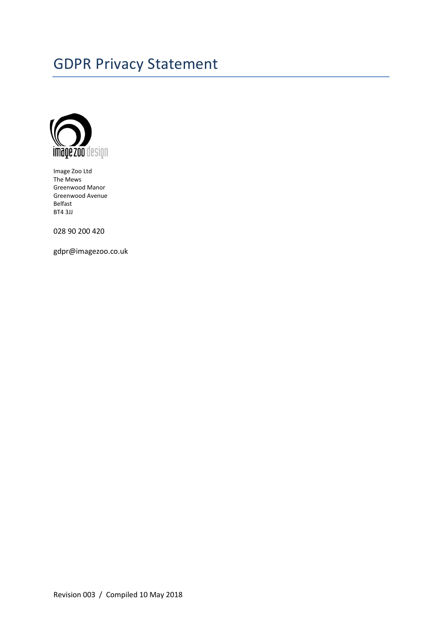# GDPR Privacy Statement



Image Zoo Ltd The Mews Greenwood Manor Greenwood Avenue Belfast BT4 3JJ

028 90 200 420

gdpr@imagezoo.co.uk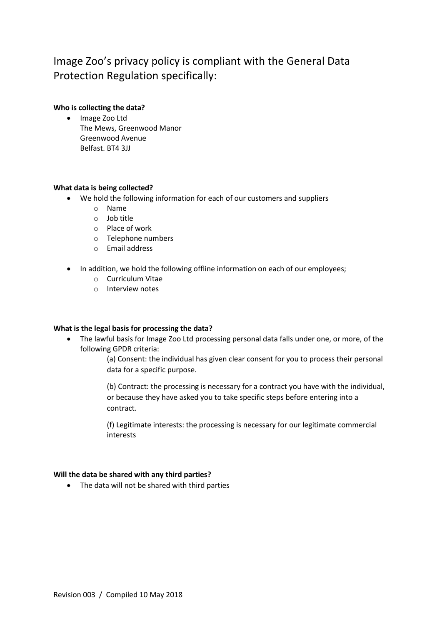# Image Zoo's privacy policy is compliant with the General Data Protection Regulation specifically:

# **Who is collecting the data?**

• Image Zoo Ltd The Mews, Greenwood Manor Greenwood Avenue Belfast. BT4 3JJ

# **What data is being collected?**

- We hold the following information for each of our customers and suppliers
	- o Name
	- o Job title
	- o Place of work
	- o Telephone numbers
	- o Email address
- In addition, we hold the following offline information on each of our employees;
	- o Curriculum Vitae
	- o Interview notes

### **What is the legal basis for processing the data?**

• The lawful basis for Image Zoo Ltd processing personal data falls under one, or more, of the following GPDR criteria:

> (a) Consent: the individual has given clear consent for you to process their personal data for a specific purpose.

> (b) Contract: the processing is necessary for a contract you have with the individual, or because they have asked you to take specific steps before entering into a contract.

(f) Legitimate interests: the processing is necessary for our legitimate commercial interests

### **Will the data be shared with any third parties?**

• The data will not be shared with third parties